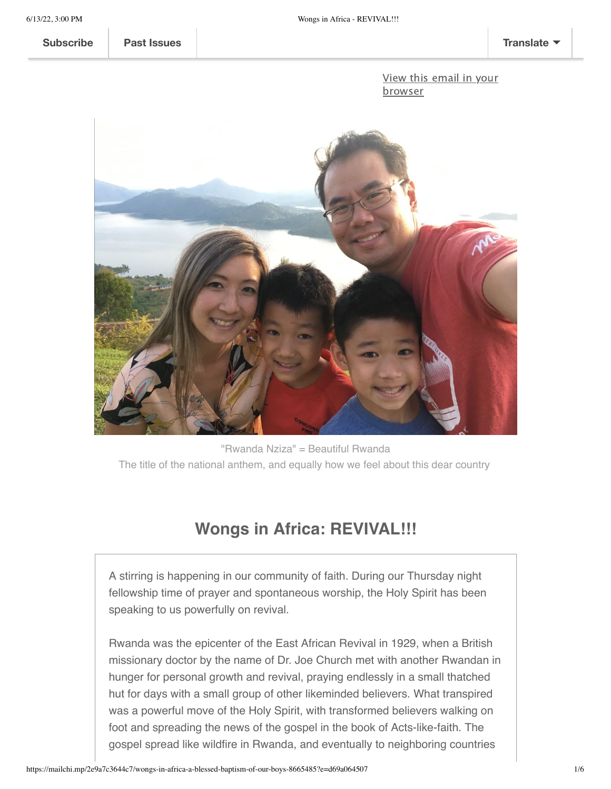**[Subscribe](http://eepurl.com/gN0UV9) Past [Issues](https://us8.campaign-archive.com/home/?u=42a4454f814b703823115ee22&id=1c46cb9c18) [Translate](javascript:;)**

View this email in your [browser](https://mailchi.mp/2e9a7c3644c7/wongs-in-africa-a-blessed-baptism-of-our-boys-8665485?e=d69a064507)



"Rwanda Nziza" = Beautiful Rwanda The title of the national anthem, and equally how we feel about this dear country

## **Wongs in Africa: REVIVAL!!!**

A stirring is happening in our community of faith. During our Thursday night fellowship time of prayer and spontaneous worship, the Holy Spirit has been speaking to us powerfully on revival.

Rwanda was the epicenter of the East African Revival in 1929, when a British missionary doctor by the name of Dr. Joe Church met with another Rwandan in hunger for personal growth and revival, praying endlessly in a small thatched hut for days with a small group of other likeminded believers. What transpired was a powerful move of the Holy Spirit, with transformed believers walking on foot and spreading the news of the gospel in the book of Acts-like-faith. The gospel spread like wildfire in Rwanda, and eventually to neighboring countries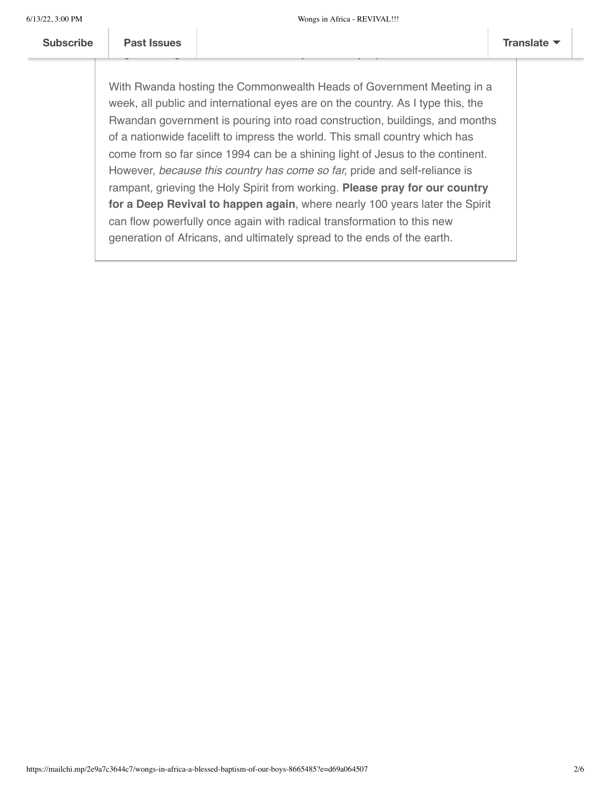With Rwanda hosting the Commonwealth Heads of Government Meeting in a week, all public and international eyes are on the country. As I type this, the Rwandan government is pouring into road construction, buildings, and months of a nationwide facelift to impress the world. This small country which has come from so far since 1994 can be a shining light of Jesus to the continent. However, *because this country has come so far,* pride and self-reliance is rampant, grieving the Holy Spirit from working. **Please pray for our country for a Deep Revival to happen again**, where nearly 100 years later the Spirit can flow powerfully once again with radical transformation to this new generation of Africans, and ultimately spread to the ends of the earth.

[Uganda and Keny](https://us8.campaign-archive.com/home/?u=42a4454f814b703823115ee22&id=1c46cb9c18)a. The East African Revival has been quoted as one of the East African Revival has been quoted as one of the East African Revival has been quoted as one of the East African Revival has been quoted as one of longest lasting revivals in church history. A small synopsis can be found [here](https://www.christianitytoday.com/history/issues/issue-9/new-dawn-in-east-africa-east-african-revival.html).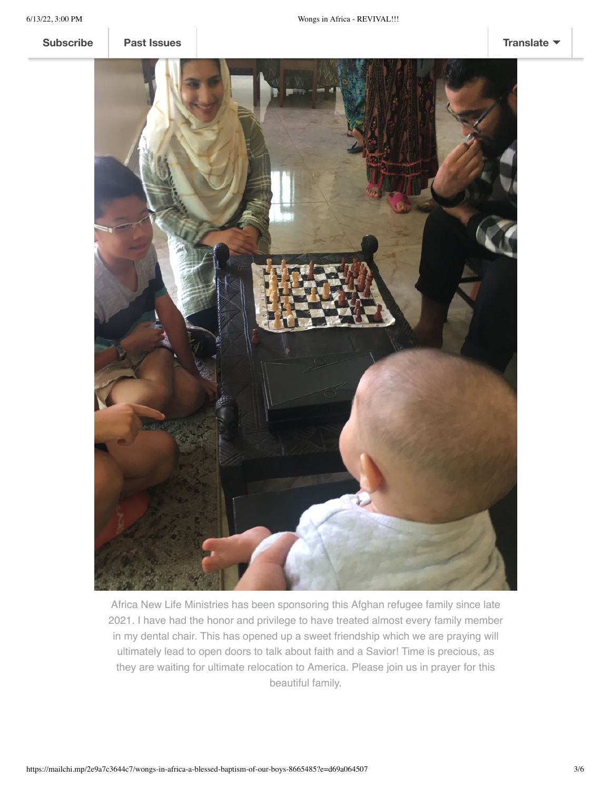**[Subscribe](http://eepurl.com/gN0UV9) Past [Issues](https://drive.google.com/file/d/1WJjqoditUWbbFjm9DypB8xZIqg2PCsfn/view?usp=sharing) [Translate](javascript:;)**



Africa New Life Ministries has been sponsoring this Afghan refugee family since late 2021. I have had the honor and privilege to have treated almost every family member in my dental chair. This has opened up a sweet friendship which we are praying will ultimately lead to open doors to talk about faith and a Savior! Time is precious, as they are waiting for ultimate relocation to America. Please join us in prayer for this beautiful family.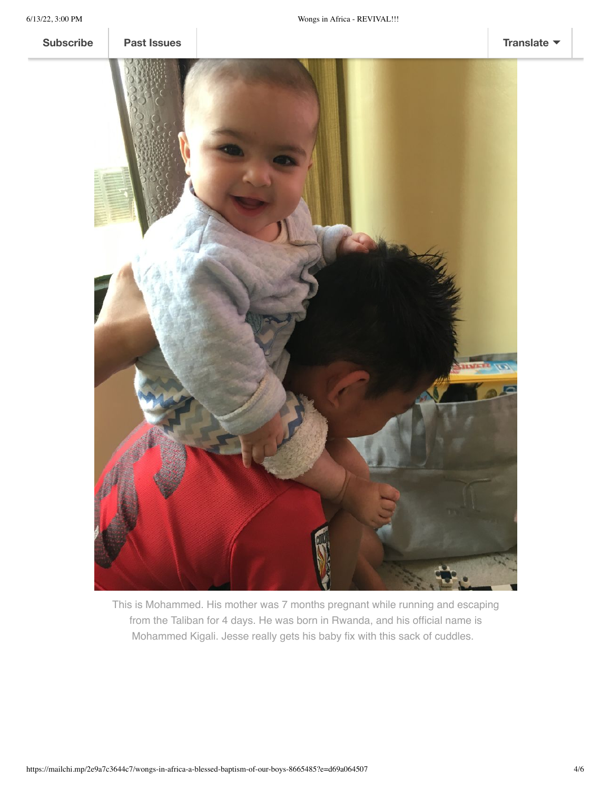

This is Mohammed. His mother was 7 months pregnant while running and escaping from the Taliban for 4 days. He was born in Rwanda, and his official name is Mohammed Kigali. Jesse really gets his baby fix with this sack of cuddles.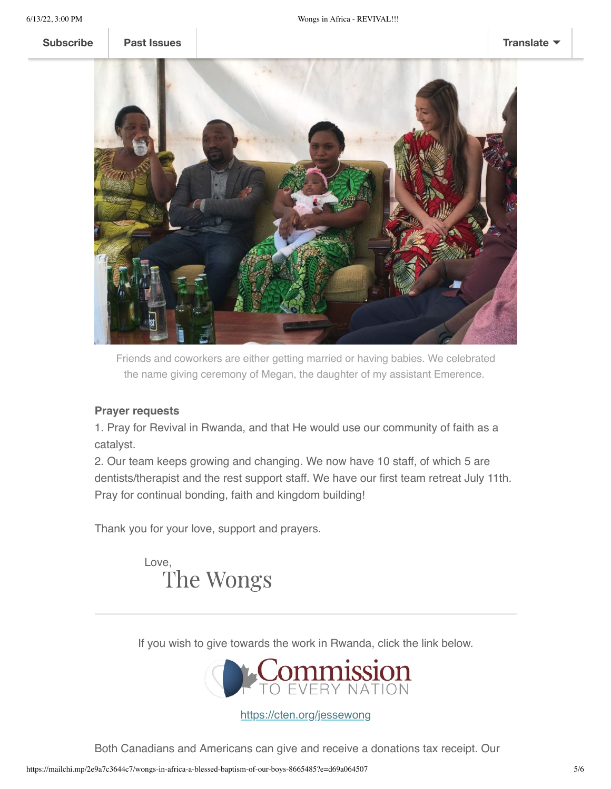**[Subscribe](http://eepurl.com/gN0UV9) Past [Issues](https://us8.campaign-archive.com/home/?u=42a4454f814b703823115ee22&id=1c46cb9c18) [Translate](javascript:;)**



Friends and coworkers are either getting married or having babies. We celebrated the name giving ceremony of Megan, the daughter of my assistant Emerence.

## **Prayer requests**

1. Pray for Revival in Rwanda, and that He would use our community of faith as a catalyst.

2. Our team keeps growing and changing. We now have 10 staff, of which 5 are dentists/therapist and the rest support staff. We have our first team retreat July 11th. Pray for continual bonding, faith and kingdom building!

Thank you for your love, support and prayers.

 Love, The Wongs

If you wish to give towards the work in Rwanda, click the link below.



<https://cten.org/jessewong>

Both Canadians and Americans can give and receive a donations tax receipt. Our